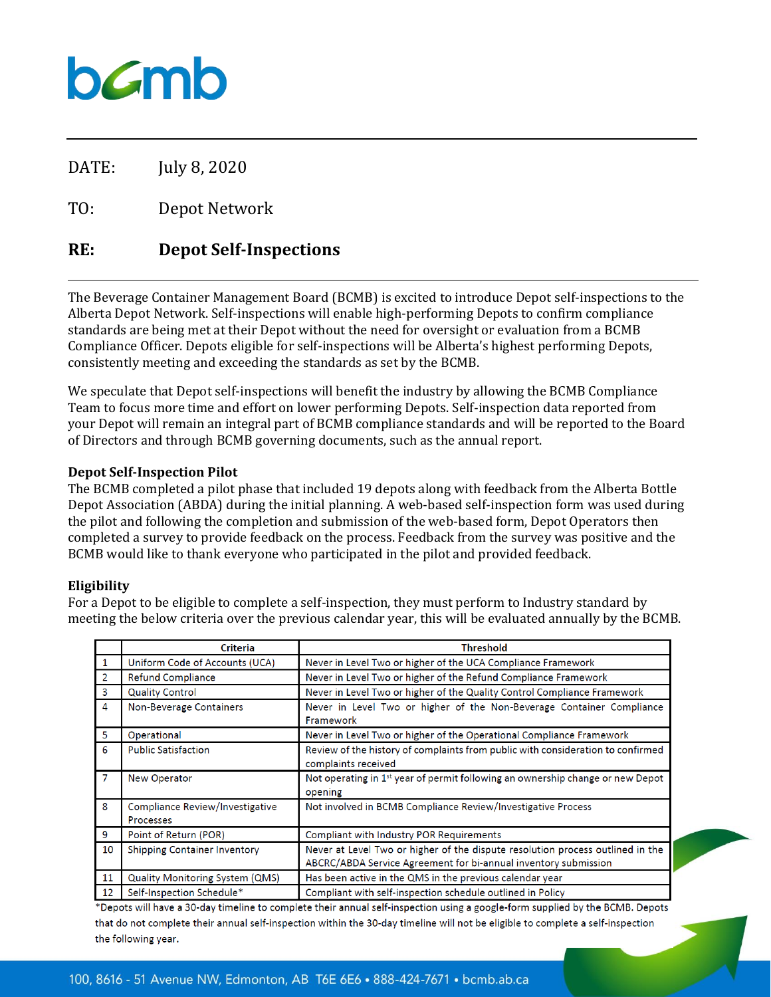# bamb

DATE: July 8, 2020

TO: Depot Network

### **RE: Depot Self-Inspections**

The Beverage Container Management Board (BCMB) is excited to introduce Depot self-inspections to the Alberta Depot Network. Self-inspections will enable high-performing Depots to confirm compliance standards are being met at their Depot without the need for oversight or evaluation from a BCMB Compliance Officer. Depots eligible for self-inspections will be Alberta's highest performing Depots, consistently meeting and exceeding the standards as set by the BCMB.

We speculate that Depot self-inspections will benefit the industry by allowing the BCMB Compliance Team to focus more time and effort on lower performing Depots. Self-inspection data reported from your Depot will remain an integral part of BCMB compliance standards and will be reported to the Board of Directors and through BCMB governing documents, such as the annual report.

#### **Depot Self-Inspection Pilot**

The BCMB completed a pilot phase that included 19 depots along with feedback from the Alberta Bottle Depot Association (ABDA) during the initial planning. A web-based self-inspection form was used during the pilot and following the completion and submission of the web-based form, Depot Operators then completed a survey to provide feedback on the process. Feedback from the survey was positive and the BCMB would like to thank everyone who participated in the pilot and provided feedback.

#### **Eligibility**

For a Depot to be eligible to complete a self-inspection, they must perform to Industry standard by meeting the below criteria over the previous calendar year, this will be evaluated annually by the BCMB.

|                         | <b>Criteria</b>                                     | <b>Threshold</b>                                                                                                                                  |
|-------------------------|-----------------------------------------------------|---------------------------------------------------------------------------------------------------------------------------------------------------|
| $\mathbf{1}$            | Uniform Code of Accounts (UCA)                      | Never in Level Two or higher of the UCA Compliance Framework                                                                                      |
| 2                       | <b>Refund Compliance</b>                            | Never in Level Two or higher of the Refund Compliance Framework                                                                                   |
| $\overline{\mathbf{3}}$ | <b>Quality Control</b>                              | Never in Level Two or higher of the Quality Control Compliance Framework                                                                          |
| $\overline{4}$          | <b>Non-Beverage Containers</b>                      | Never in Level Two or higher of the Non-Beverage Container Compliance<br>Framework                                                                |
| $\overline{\mathbf{5}}$ | Operational                                         | Never in Level Two or higher of the Operational Compliance Framework                                                                              |
| 6                       | <b>Public Satisfaction</b>                          | Review of the history of complaints from public with consideration to confirmed<br>complaints received                                            |
| $\overline{7}$          | <b>New Operator</b>                                 | Not operating in $1st$ year of permit following an ownership change or new Depot<br>opening                                                       |
| 8                       | <b>Compliance Review/Investigative</b><br>Processes | Not involved in BCMB Compliance Review/Investigative Process                                                                                      |
| 9                       | Point of Return (POR)                               | <b>Compliant with Industry POR Requirements</b>                                                                                                   |
| 10                      | <b>Shipping Container Inventory</b>                 | Never at Level Two or higher of the dispute resolution process outlined in the<br>ABCRC/ABDA Service Agreement for bi-annual inventory submission |
| 11                      | <b>Quality Monitoring System (QMS)</b>              | Has been active in the QMS in the previous calendar year                                                                                          |
| 12                      | Self-Inspection Schedule*                           | Compliant with self-inspection schedule outlined in Policy                                                                                        |

\*Depots will have a 30-day timeline to complete their annual self-inspection using a google-form supplied by the BCMB. Depots that do not complete their annual self-inspection within the 30-day timeline will not be eligible to complete a self-inspection the following year.